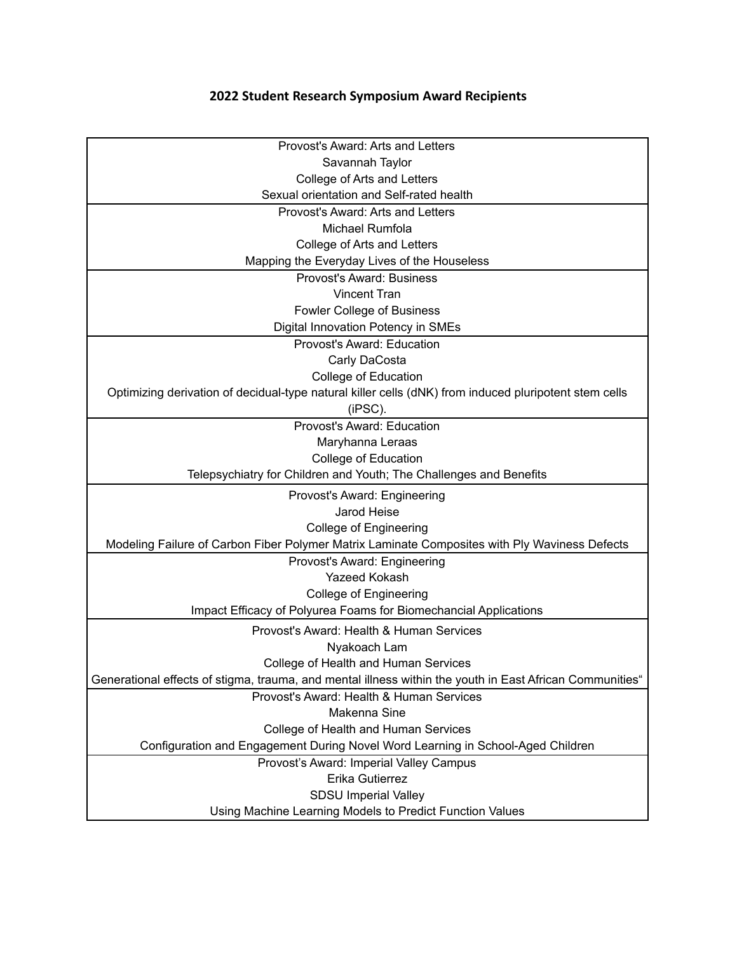## **2022 Student Research Symposium Award Recipients**

| Provost's Award: Arts and Letters                                                                        |
|----------------------------------------------------------------------------------------------------------|
| Savannah Taylor                                                                                          |
| College of Arts and Letters                                                                              |
| Sexual orientation and Self-rated health                                                                 |
| Provost's Award: Arts and Letters                                                                        |
| Michael Rumfola                                                                                          |
| College of Arts and Letters                                                                              |
| Mapping the Everyday Lives of the Houseless                                                              |
| <b>Provost's Award: Business</b>                                                                         |
| <b>Vincent Tran</b>                                                                                      |
| Fowler College of Business                                                                               |
| Digital Innovation Potency in SMEs                                                                       |
| Provost's Award: Education                                                                               |
| Carly DaCosta                                                                                            |
| College of Education                                                                                     |
| Optimizing derivation of decidual-type natural killer cells (dNK) from induced pluripotent stem cells    |
| (iPSC).                                                                                                  |
| Provost's Award: Education                                                                               |
| Maryhanna Leraas                                                                                         |
| College of Education                                                                                     |
| Telepsychiatry for Children and Youth; The Challenges and Benefits                                       |
| Provost's Award: Engineering                                                                             |
| Jarod Heise                                                                                              |
| <b>College of Engineering</b>                                                                            |
| Modeling Failure of Carbon Fiber Polymer Matrix Laminate Composites with Ply Waviness Defects            |
| Provost's Award: Engineering                                                                             |
| <b>Yazeed Kokash</b>                                                                                     |
| <b>College of Engineering</b>                                                                            |
| Impact Efficacy of Polyurea Foams for Biomechancial Applications                                         |
| Provost's Award: Health & Human Services                                                                 |
| Nyakoach Lam                                                                                             |
| College of Health and Human Services                                                                     |
| Generational effects of stigma, trauma, and mental illness within the youth in East African Communities" |
| Provost's Award: Health & Human Services                                                                 |
| Makenna Sine                                                                                             |
| College of Health and Human Services                                                                     |
| Configuration and Engagement During Novel Word Learning in School-Aged Children                          |
| Provost's Award: Imperial Valley Campus                                                                  |
| Erika Gutierrez                                                                                          |
| <b>SDSU Imperial Valley</b>                                                                              |
| Using Machine Learning Models to Predict Function Values                                                 |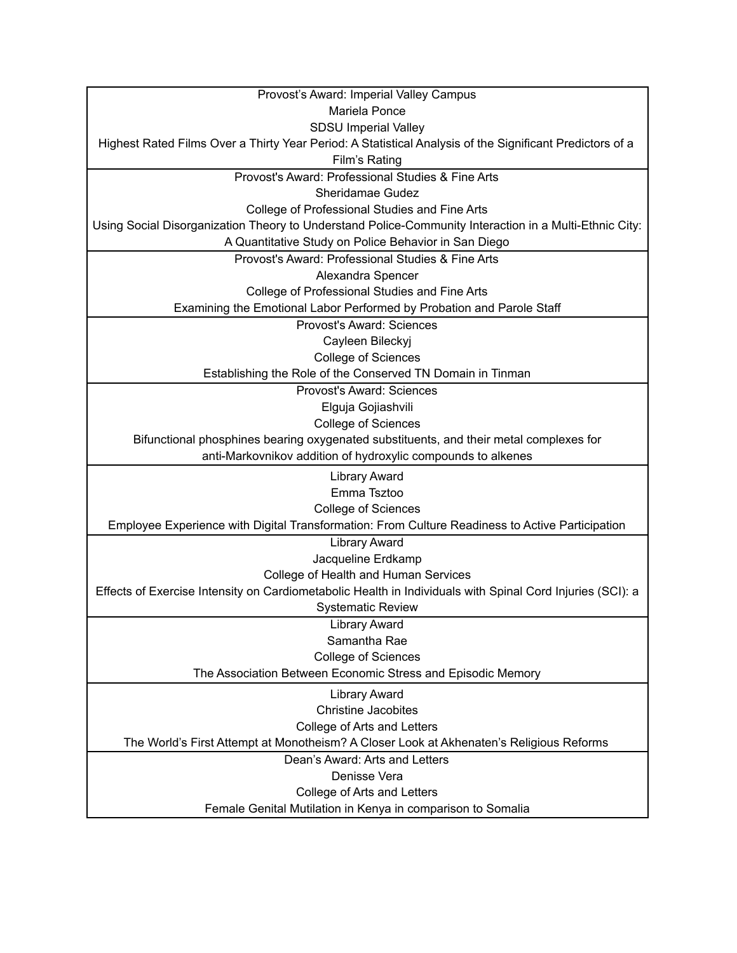| Provost's Award: Imperial Valley Campus                                                                                                      |
|----------------------------------------------------------------------------------------------------------------------------------------------|
| Mariela Ponce                                                                                                                                |
| <b>SDSU Imperial Valley</b>                                                                                                                  |
| Highest Rated Films Over a Thirty Year Period: A Statistical Analysis of the Significant Predictors of a                                     |
| <b>Film's Rating</b>                                                                                                                         |
| Provost's Award: Professional Studies & Fine Arts                                                                                            |
| Sheridamae Gudez                                                                                                                             |
| College of Professional Studies and Fine Arts                                                                                                |
| Using Social Disorganization Theory to Understand Police-Community Interaction in a Multi-Ethnic City:                                       |
| A Quantitative Study on Police Behavior in San Diego                                                                                         |
| Provost's Award: Professional Studies & Fine Arts                                                                                            |
| Alexandra Spencer                                                                                                                            |
| College of Professional Studies and Fine Arts                                                                                                |
| Examining the Emotional Labor Performed by Probation and Parole Staff                                                                        |
| Provost's Award: Sciences                                                                                                                    |
| Cayleen Bileckyj                                                                                                                             |
| <b>College of Sciences</b>                                                                                                                   |
| Establishing the Role of the Conserved TN Domain in Tinman                                                                                   |
| Provost's Award: Sciences                                                                                                                    |
| Elguja Gojiashvili                                                                                                                           |
| <b>College of Sciences</b>                                                                                                                   |
| Bifunctional phosphines bearing oxygenated substituents, and their metal complexes for                                                       |
| anti-Markovnikov addition of hydroxylic compounds to alkenes                                                                                 |
| <b>Library Award</b>                                                                                                                         |
| Emma Tsztoo                                                                                                                                  |
| <b>College of Sciences</b>                                                                                                                   |
| Employee Experience with Digital Transformation: From Culture Readiness to Active Participation                                              |
| <b>Library Award</b>                                                                                                                         |
| Jacqueline Erdkamp                                                                                                                           |
| College of Health and Human Services                                                                                                         |
| Effects of Exercise Intensity on Cardiometabolic Health in Individuals with Spinal Cord Injuries (SCI): a                                    |
| <b>Systematic Review</b>                                                                                                                     |
| <b>Library Award</b>                                                                                                                         |
| Samantha Rae                                                                                                                                 |
| <b>College of Sciences</b>                                                                                                                   |
| The Association Between Economic Stress and Episodic Memory                                                                                  |
| <b>Library Award</b>                                                                                                                         |
| <b>Christine Jacobites</b>                                                                                                                   |
| College of Arts and Letters                                                                                                                  |
| The World's First Attempt at Monotheism? A Closer Look at Akhenaten's Religious Reforms                                                      |
|                                                                                                                                              |
|                                                                                                                                              |
|                                                                                                                                              |
|                                                                                                                                              |
| Dean's Award: Arts and Letters<br>Denisse Vera<br>College of Arts and Letters<br>Female Genital Mutilation in Kenya in comparison to Somalia |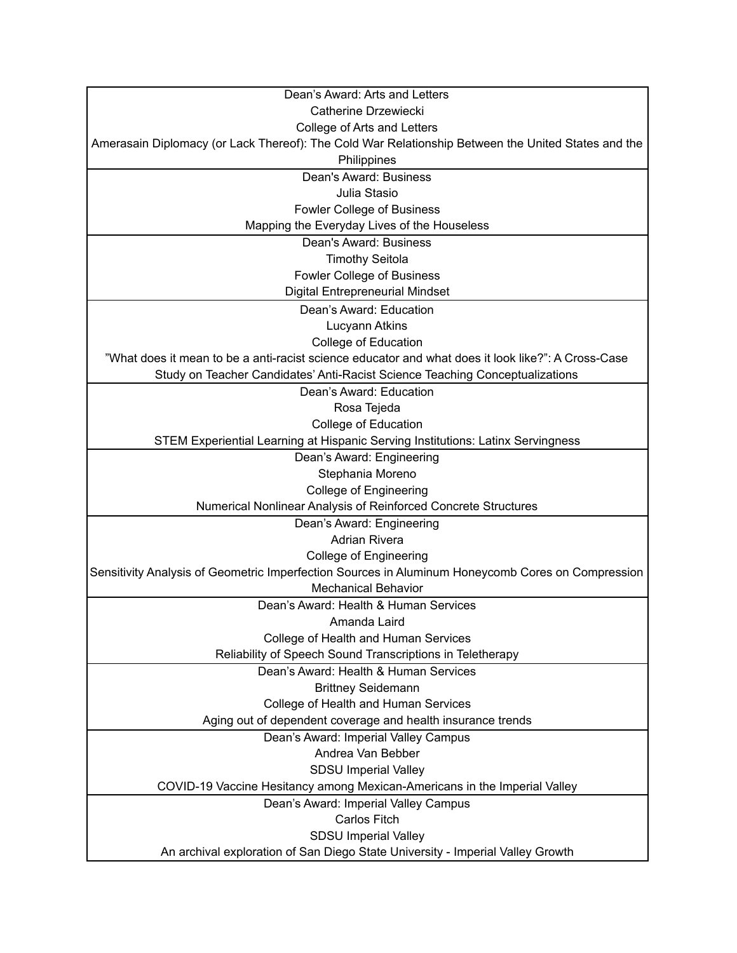| Dean's Award: Arts and Letters                                                                     |
|----------------------------------------------------------------------------------------------------|
| Catherine Drzewiecki                                                                               |
| College of Arts and Letters                                                                        |
| Amerasain Diplomacy (or Lack Thereof): The Cold War Relationship Between the United States and the |
| Philippines                                                                                        |
| Dean's Award: Business                                                                             |
| Julia Stasio                                                                                       |
| <b>Fowler College of Business</b>                                                                  |
| Mapping the Everyday Lives of the Houseless                                                        |
| Dean's Award: Business                                                                             |
| <b>Timothy Seitola</b>                                                                             |
| <b>Fowler College of Business</b>                                                                  |
| <b>Digital Entrepreneurial Mindset</b>                                                             |
| Dean's Award: Education                                                                            |
| Lucyann Atkins                                                                                     |
| College of Education                                                                               |
| "What does it mean to be a anti-racist science educator and what does it look like?": A Cross-Case |
| Study on Teacher Candidates' Anti-Racist Science Teaching Conceptualizations                       |
| Dean's Award: Education                                                                            |
| Rosa Tejeda                                                                                        |
| College of Education                                                                               |
| STEM Experiential Learning at Hispanic Serving Institutions: Latinx Servingness                    |
| Dean's Award: Engineering                                                                          |
| Stephania Moreno                                                                                   |
| <b>College of Engineering</b>                                                                      |
| Numerical Nonlinear Analysis of Reinforced Concrete Structures                                     |
| Dean's Award: Engineering                                                                          |
| <b>Adrian Rivera</b>                                                                               |
| <b>College of Engineering</b>                                                                      |
| Sensitivity Analysis of Geometric Imperfection Sources in Aluminum Honeycomb Cores on Compression  |
| <b>Mechanical Behavior</b>                                                                         |
| Dean's Award: Health & Human Services                                                              |
| Amanda Laird                                                                                       |
| College of Health and Human Services                                                               |
| Reliability of Speech Sound Transcriptions in Teletherapy                                          |
| Dean's Award: Health & Human Services                                                              |
| <b>Brittney Seidemann</b>                                                                          |
| College of Health and Human Services                                                               |
| Aging out of dependent coverage and health insurance trends                                        |
| Dean's Award: Imperial Valley Campus                                                               |
| Andrea Van Bebber                                                                                  |
| <b>SDSU Imperial Valley</b>                                                                        |
| COVID-19 Vaccine Hesitancy among Mexican-Americans in the Imperial Valley                          |
| Dean's Award: Imperial Valley Campus                                                               |
| Carlos Fitch                                                                                       |
| <b>SDSU Imperial Valley</b>                                                                        |
| An archival exploration of San Diego State University - Imperial Valley Growth                     |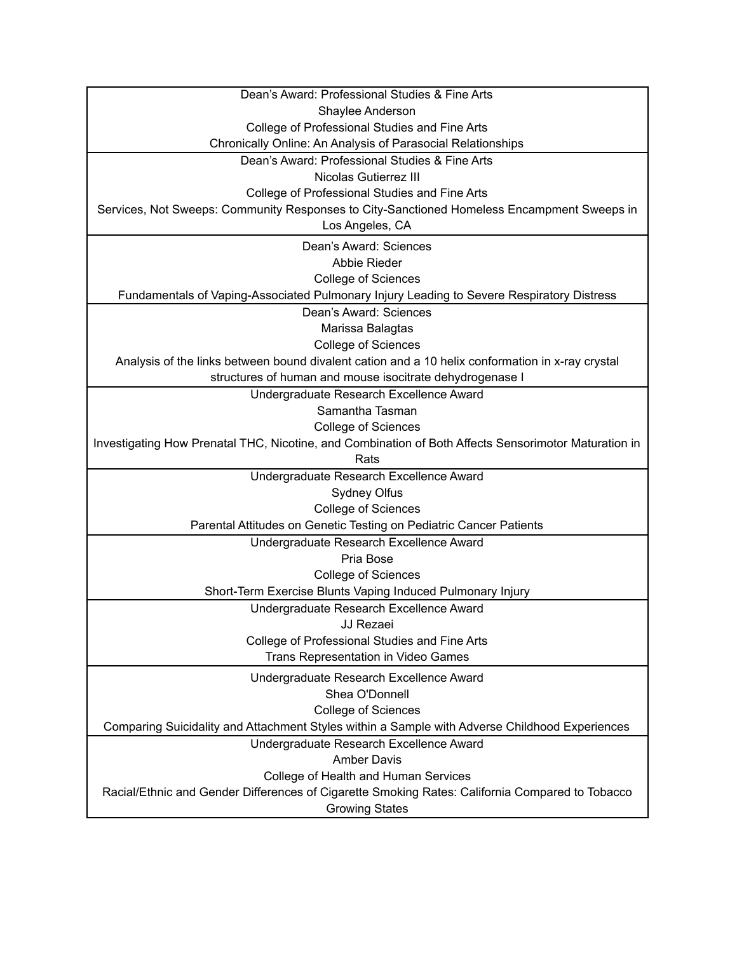| Dean's Award: Professional Studies & Fine Arts                                                       |
|------------------------------------------------------------------------------------------------------|
| Shaylee Anderson                                                                                     |
| College of Professional Studies and Fine Arts                                                        |
| Chronically Online: An Analysis of Parasocial Relationships                                          |
| Dean's Award: Professional Studies & Fine Arts                                                       |
| <b>Nicolas Gutierrez III</b>                                                                         |
| College of Professional Studies and Fine Arts                                                        |
| Services, Not Sweeps: Community Responses to City-Sanctioned Homeless Encampment Sweeps in           |
| Los Angeles, CA                                                                                      |
| Dean's Award: Sciences                                                                               |
| Abbie Rieder                                                                                         |
| <b>College of Sciences</b>                                                                           |
| Fundamentals of Vaping-Associated Pulmonary Injury Leading to Severe Respiratory Distress            |
| Dean's Award: Sciences                                                                               |
| Marissa Balagtas                                                                                     |
| <b>College of Sciences</b>                                                                           |
| Analysis of the links between bound divalent cation and a 10 helix conformation in x-ray crystal     |
| structures of human and mouse isocitrate dehydrogenase I                                             |
| Undergraduate Research Excellence Award                                                              |
| Samantha Tasman                                                                                      |
| <b>College of Sciences</b>                                                                           |
| Investigating How Prenatal THC, Nicotine, and Combination of Both Affects Sensorimotor Maturation in |
| Rats                                                                                                 |
| Undergraduate Research Excellence Award                                                              |
| Sydney Olfus                                                                                         |
| <b>College of Sciences</b>                                                                           |
| Parental Attitudes on Genetic Testing on Pediatric Cancer Patients                                   |
| Undergraduate Research Excellence Award                                                              |
| Pria Bose                                                                                            |
| <b>College of Sciences</b>                                                                           |
| Short-Term Exercise Blunts Vaping Induced Pulmonary Injury                                           |
| Undergraduate Research Excellence Award                                                              |
| JJ Rezaei                                                                                            |
| College of Professional Studies and Fine Arts                                                        |
| Trans Representation in Video Games                                                                  |
| Undergraduate Research Excellence Award                                                              |
| Shea O'Donnell                                                                                       |
| <b>College of Sciences</b>                                                                           |
| Comparing Suicidality and Attachment Styles within a Sample with Adverse Childhood Experiences       |
| Undergraduate Research Excellence Award                                                              |
| <b>Amber Davis</b>                                                                                   |
| College of Health and Human Services                                                                 |
| Racial/Ethnic and Gender Differences of Cigarette Smoking Rates: California Compared to Tobacco      |
| <b>Growing States</b>                                                                                |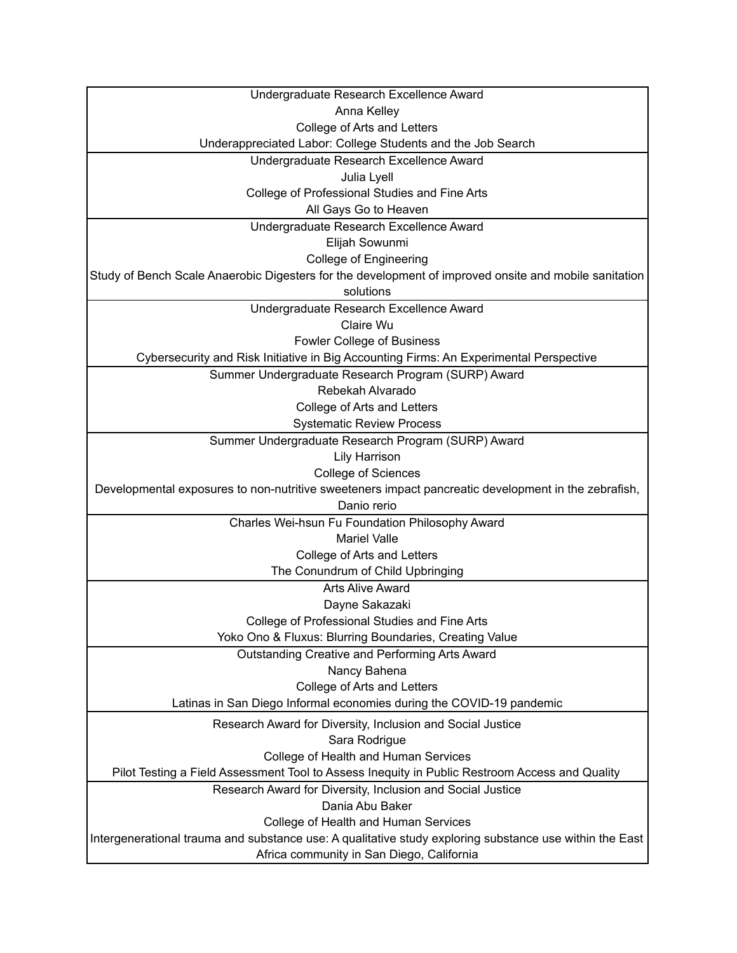| Undergraduate Research Excellence Award                                                                 |
|---------------------------------------------------------------------------------------------------------|
| Anna Kelley                                                                                             |
| College of Arts and Letters                                                                             |
| Underappreciated Labor: College Students and the Job Search                                             |
| Undergraduate Research Excellence Award                                                                 |
| Julia Lyell                                                                                             |
| College of Professional Studies and Fine Arts                                                           |
| All Gays Go to Heaven                                                                                   |
| Undergraduate Research Excellence Award                                                                 |
| Elijah Sowunmi                                                                                          |
| <b>College of Engineering</b>                                                                           |
| Study of Bench Scale Anaerobic Digesters for the development of improved onsite and mobile sanitation   |
| solutions                                                                                               |
| Undergraduate Research Excellence Award                                                                 |
| Claire Wu                                                                                               |
| <b>Fowler College of Business</b>                                                                       |
| Cybersecurity and Risk Initiative in Big Accounting Firms: An Experimental Perspective                  |
| Summer Undergraduate Research Program (SURP) Award                                                      |
| Rebekah Alvarado                                                                                        |
| College of Arts and Letters                                                                             |
| <b>Systematic Review Process</b>                                                                        |
| Summer Undergraduate Research Program (SURP) Award                                                      |
| <b>Lily Harrison</b>                                                                                    |
| <b>College of Sciences</b>                                                                              |
| Developmental exposures to non-nutritive sweeteners impact pancreatic development in the zebrafish,     |
| Danio rerio                                                                                             |
| Charles Wei-hsun Fu Foundation Philosophy Award                                                         |
| <b>Mariel Valle</b>                                                                                     |
| College of Arts and Letters                                                                             |
| The Conundrum of Child Upbringing                                                                       |
| <b>Arts Alive Award</b>                                                                                 |
| Dayne Sakazaki                                                                                          |
| College of Professional Studies and Fine Arts                                                           |
| Yoko Ono & Fluxus: Blurring Boundaries, Creating Value                                                  |
| Outstanding Creative and Performing Arts Award                                                          |
| Nancy Bahena                                                                                            |
| College of Arts and Letters                                                                             |
| Latinas in San Diego Informal economies during the COVID-19 pandemic                                    |
| Research Award for Diversity, Inclusion and Social Justice                                              |
| Sara Rodrigue                                                                                           |
| College of Health and Human Services                                                                    |
| Pilot Testing a Field Assessment Tool to Assess Inequity in Public Restroom Access and Quality          |
| Research Award for Diversity, Inclusion and Social Justice                                              |
| Dania Abu Baker                                                                                         |
| College of Health and Human Services                                                                    |
| Intergenerational trauma and substance use: A qualitative study exploring substance use within the East |
| Africa community in San Diego, California                                                               |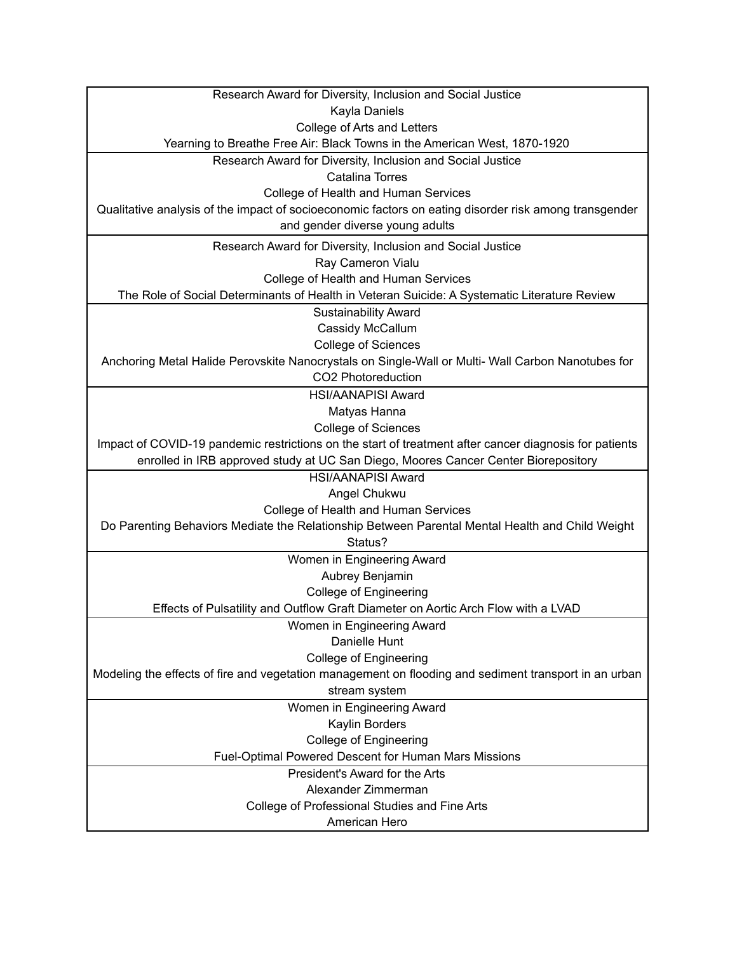| Research Award for Diversity, Inclusion and Social Justice                                             |
|--------------------------------------------------------------------------------------------------------|
| Kayla Daniels                                                                                          |
| College of Arts and Letters                                                                            |
| Yearning to Breathe Free Air: Black Towns in the American West, 1870-1920                              |
| Research Award for Diversity, Inclusion and Social Justice                                             |
| <b>Catalina Torres</b>                                                                                 |
| College of Health and Human Services                                                                   |
| Qualitative analysis of the impact of socioeconomic factors on eating disorder risk among transgender  |
| and gender diverse young adults                                                                        |
| Research Award for Diversity, Inclusion and Social Justice                                             |
| Ray Cameron Vialu                                                                                      |
| College of Health and Human Services                                                                   |
| The Role of Social Determinants of Health in Veteran Suicide: A Systematic Literature Review           |
| <b>Sustainability Award</b>                                                                            |
| Cassidy McCallum                                                                                       |
| <b>College of Sciences</b>                                                                             |
| Anchoring Metal Halide Perovskite Nanocrystals on Single-Wall or Multi- Wall Carbon Nanotubes for      |
| CO2 Photoreduction                                                                                     |
| <b>HSI/AANAPISI Award</b>                                                                              |
| Matyas Hanna                                                                                           |
| <b>College of Sciences</b>                                                                             |
| Impact of COVID-19 pandemic restrictions on the start of treatment after cancer diagnosis for patients |
| enrolled in IRB approved study at UC San Diego, Moores Cancer Center Biorepository                     |
| <b>HSI/AANAPISI Award</b>                                                                              |
| Angel Chukwu                                                                                           |
| College of Health and Human Services                                                                   |
| Do Parenting Behaviors Mediate the Relationship Between Parental Mental Health and Child Weight        |
| Status?                                                                                                |
| Women in Engineering Award                                                                             |
| Aubrey Benjamin                                                                                        |
| <b>College of Engineering</b>                                                                          |
| Effects of Pulsatility and Outflow Graft Diameter on Aortic Arch Flow with a LVAD                      |
| Women in Engineering Award                                                                             |
| Danielle Hunt                                                                                          |
| <b>College of Engineering</b>                                                                          |
| Modeling the effects of fire and vegetation management on flooding and sediment transport in an urban  |
| stream system                                                                                          |
| Women in Engineering Award                                                                             |
| Kaylin Borders                                                                                         |
| <b>College of Engineering</b><br>Fuel-Optimal Powered Descent for Human Mars Missions                  |
| President's Award for the Arts                                                                         |
| Alexander Zimmerman                                                                                    |
| College of Professional Studies and Fine Arts                                                          |
| American Hero                                                                                          |
|                                                                                                        |